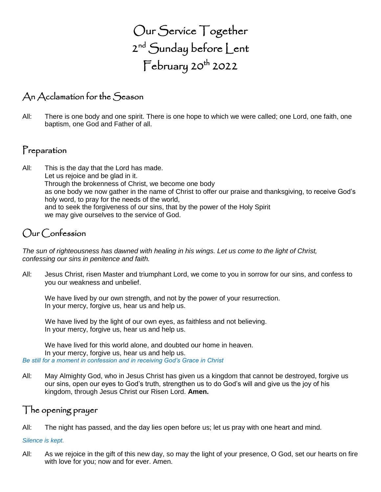Our Service Together 2<sup>nd</sup> Sunday before Lent  $\mathsf{February}\, 20^{\mathsf{th}}$  2022

#### An Acclamation for the Season

All: There is one body and one spirit. There is one hope to which we were called; one Lord, one faith, one baptism, one God and Father of all.

## Preparation

All: This is the day that the Lord has made. Let us rejoice and be glad in it. Through the brokenness of Christ, we become one body as one body we now gather in the name of Christ to offer our praise and thanksgiving, to receive God's holy word, to pray for the needs of the world, and to seek the forgiveness of our sins, that by the power of the Holy Spirit we may give ourselves to the service of God.

## Our Confession

*The sun of righteousness has dawned with healing in his wings. Let us come to the light of Christ, confessing our sins in penitence and faith.*

All: Jesus Christ, risen Master and triumphant Lord, we come to you in sorrow for our sins, and confess to you our weakness and unbelief.

We have lived by our own strength, and not by the power of your resurrection. In your mercy, forgive us, hear us and help us.

We have lived by the light of our own eyes, as faithless and not believing. In your mercy, forgive us, hear us and help us.

We have lived for this world alone, and doubted our home in heaven. In your mercy, forgive us, hear us and help us. *Be still for a moment in confession and in receiving God's Grace in Christ*

All: May Almighty God, who in Jesus Christ has given us a kingdom that cannot be destroyed, forgive us our sins, open our eyes to God's truth, strengthen us to do God's will and give us the joy of his kingdom, through Jesus Christ our Risen Lord. **Amen.**

#### The opening prayer

All: The night has passed, and the day lies open before us; let us pray with one heart and mind.

#### *Silence is kept.*

All: As we rejoice in the gift of this new day, so may the light of your presence, O God, set our hearts on fire with love for you; now and for ever. Amen.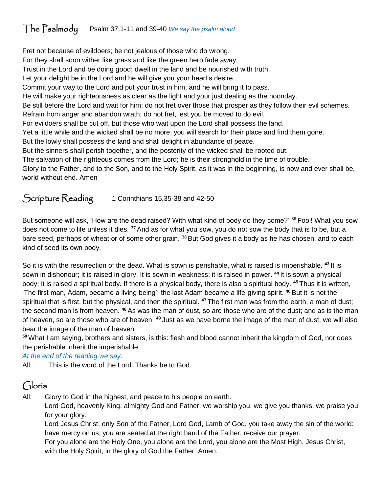# The Psalmody Psalm 37.1-11 and 39-40 *We say the psalm aloud*

Fret not because of evildoers; be not jealous of those who do wrong. For they shall soon wither like grass and like the green herb fade away. Trust in the Lord and be doing good; dwell in the land and be nourished with truth. Let your delight be in the Lord and he will give you your heart's desire. Commit your way to the Lord and put your trust in him, and he will bring it to pass. He will make your righteousness as clear as the light and your just dealing as the noonday. Be still before the Lord and wait for him; do not fret over those that prosper as they follow their evil schemes. Refrain from anger and abandon wrath; do not fret, lest you be moved to do evil. For evildoers shall be cut off, but those who wait upon the Lord shall possess the land. Yet a little while and the wicked shall be no more; you will search for their place and find them gone. But the lowly shall possess the land and shall delight in abundance of peace. But the sinners shall perish together, and the posterity of the wicked shall be rooted out. The salvation of the righteous comes from the Lord; he is their stronghold in the time of trouble. Glory to the Father, and to the Son, and to the Holy Spirit, as it was in the beginning, is now and ever shall be, world without end. Amen

#### Scripture Reading 1 Corinthians 15.35-38 and 42-50

But someone will ask, 'How are the dead raised? With what kind of body do they come?' <sup>36</sup> Fool! What you sow does not come to life unless it dies. <sup>37</sup> And as for what you sow, you do not sow the body that is to be, but a bare seed, perhaps of wheat or of some other grain. <sup>38</sup> But God gives it a body as he has chosen, and to each kind of seed its own body.

So it is with the resurrection of the dead. What is sown is perishable, what is raised is imperishable. **<sup>43</sup>** It is sown in dishonour; it is raised in glory. It is sown in weakness; it is raised in power. **<sup>44</sup>** It is sown a physical body; it is raised a spiritual body. If there is a physical body, there is also a spiritual body. **<sup>45</sup>** Thus it is written, 'The first man, Adam, became a living being'; the last Adam became a life-giving spirit. **<sup>46</sup>** But it is not the spiritual that is first, but the physical, and then the spiritual. **<sup>47</sup>** The first man was from the earth, a man of dust; the second man is from heaven. **<sup>48</sup>** As was the man of dust, so are those who are of the dust; and as is the man of heaven, so are those who are of heaven. **<sup>49</sup>** Just as we have borne the image of the man of dust, we will also bear the image of the man of heaven.

**<sup>50</sup>** What I am saying, brothers and sisters, is this: flesh and blood cannot inherit the kingdom of God, nor does the perishable inherit the imperishable.

*At the end of the reading we say:*

All: This is the word of the Lord. Thanks be to God.

#### Gloria

All: Glory to God in the highest, and peace to his people on earth.

Lord God, heavenly King, almighty God and Father, we worship you, we give you thanks, we praise you for your glory.

Lord Jesus Christ, only Son of the Father, Lord God, Lamb of God, you take away the sin of the world: have mercy on us; you are seated at the right hand of the Father: receive our prayer.

For you alone are the Holy One, you alone are the Lord, you alone are the Most High, Jesus Christ, with the Holy Spirit, in the glory of God the Father. Amen.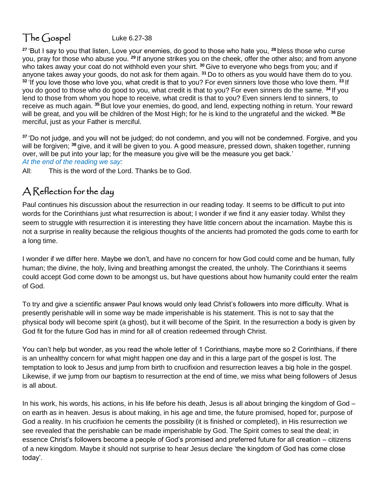# $\Gamma$ he  $G$ ospel Luke 6.27-38

**<sup>27</sup>** 'But I say to you that listen, Love your enemies, do good to those who hate you, **<sup>28</sup>** bless those who curse you, pray for those who abuse you. **<sup>29</sup>** If anyone strikes you on the cheek, offer the other also; and from anyone who takes away your coat do not withhold even your shirt. **<sup>30</sup>** Give to everyone who begs from you; and if anyone takes away your goods, do not ask for them again. **<sup>31</sup>** Do to others as you would have them do to you. **<sup>32</sup>** 'If you love those who love you, what credit is that to you? For even sinners love those who love them. **<sup>33</sup>** If you do good to those who do good to you, what credit is that to you? For even sinners do the same. **<sup>34</sup>** If you lend to those from whom you hope to receive, what credit is that to you? Even sinners lend to sinners, to receive as much again. **<sup>35</sup>** But love your enemies, do good, and lend, expecting nothing in return. Your reward will be great, and you will be children of the Most High; for he is kind to the ungrateful and the wicked. **<sup>36</sup>** Be merciful, just as your Father is merciful.

**<sup>37</sup>** 'Do not judge, and you will not be judged; do not condemn, and you will not be condemned. Forgive, and you will be forgiven; **<sup>38</sup>** give, and it will be given to you. A good measure, pressed down, shaken together, running over, will be put into your lap; for the measure you give will be the measure you get back.' *At the end of the reading we say:*

All: This is the word of the Lord. Thanks be to God.

## A Reflection for the day

Paul continues his discussion about the resurrection in our reading today. It seems to be difficult to put into words for the Corinthians just what resurrection is about; I wonder if we find it any easier today. Whilst they seem to struggle with resurrection it is interesting they have little concern about the incarnation. Maybe this is not a surprise in reality because the religious thoughts of the ancients had promoted the gods come to earth for a long time.

I wonder if we differ here. Maybe we don't, and have no concern for how God could come and be human, fully human; the divine, the holy, living and breathing amongst the created, the unholy. The Corinthians it seems could accept God come down to be amongst us, but have questions about how humanity could enter the realm of God.

To try and give a scientific answer Paul knows would only lead Christ's followers into more difficulty. What is presently perishable will in some way be made imperishable is his statement. This is not to say that the physical body will become spirit (a ghost), but it will become of the Spirit. In the resurrection a body is given by God fit for the future God has in mind for all of creation redeemed through Christ.

You can't help but wonder, as you read the whole letter of 1 Corinthians, maybe more so 2 Corinthians, if there is an unhealthy concern for what might happen one day and in this a large part of the gospel is lost. The temptation to look to Jesus and jump from birth to crucifixion and resurrection leaves a big hole in the gospel. Likewise, if we jump from our baptism to resurrection at the end of time, we miss what being followers of Jesus is all about.

In his work, his words, his actions, in his life before his death, Jesus is all about bringing the kingdom of God – on earth as in heaven. Jesus is about making, in his age and time, the future promised, hoped for, purpose of God a reality. In his crucifixion he cements the possibility (it is finished or completed), in His resurrection we see revealed that the perishable can be made imperishable by God. The Spirit comes to seal the deal; in essence Christ's followers become a people of God's promised and preferred future for all creation – citizens of a new kingdom. Maybe it should not surprise to hear Jesus declare 'the kingdom of God has come close today'.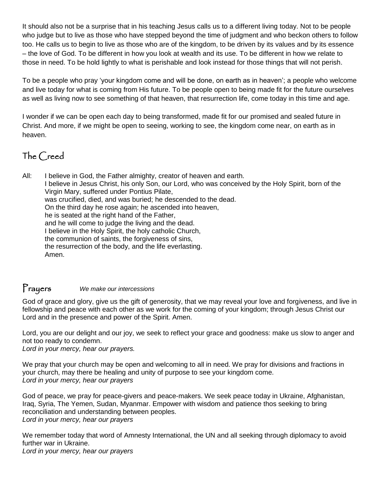It should also not be a surprise that in his teaching Jesus calls us to a different living today. Not to be people who judge but to live as those who have stepped beyond the time of judgment and who beckon others to follow too. He calls us to begin to live as those who are of the kingdom, to be driven by its values and by its essence – the love of God. To be different in how you look at wealth and its use. To be different in how we relate to those in need. To be hold lightly to what is perishable and look instead for those things that will not perish.

To be a people who pray 'your kingdom come and will be done, on earth as in heaven'; a people who welcome and live today for what is coming from His future. To be people open to being made fit for the future ourselves as well as living now to see something of that heaven, that resurrection life, come today in this time and age.

I wonder if we can be open each day to being transformed, made fit for our promised and sealed future in Christ. And more, if we might be open to seeing, working to see, the kingdom come near, on earth as in heaven.

## The Creed

All: I believe in God, the Father almighty, creator of heaven and earth. I believe in Jesus Christ, his only Son, our Lord, who was conceived by the Holy Spirit, born of the Virgin Mary, suffered under Pontius Pilate, was crucified, died, and was buried; he descended to the dead. On the third day he rose again; he ascended into heaven, he is seated at the right hand of the Father, and he will come to judge the living and the dead. I believe in the Holy Spirit, the holy catholic Church, the communion of saints, the forgiveness of sins, the resurrection of the body, and the life everlasting. Amen.

#### Prayers *We make our intercessions*

God of grace and glory, give us the gift of generosity, that we may reveal your love and forgiveness, and live in fellowship and peace with each other as we work for the coming of your kingdom; through Jesus Christ our Lord and in the presence and power of the Spirit. Amen.

Lord, you are our delight and our joy, we seek to reflect your grace and goodness: make us slow to anger and not too ready to condemn.

*Lord in your mercy, hear our prayers.*

We pray that your church may be open and welcoming to all in need. We pray for divisions and fractions in your church, may there be healing and unity of purpose to see your kingdom come. *Lord in your mercy, hear our prayers*

God of peace, we pray for peace-givers and peace-makers. We seek peace today in Ukraine, Afghanistan, Iraq, Syria, The Yemen, Sudan, Myanmar. Empower with wisdom and patience thos seeking to bring reconciliation and understanding between peoples. *Lord in your mercy, hear our prayers*

We remember today that word of Amnesty International, the UN and all seeking through diplomacy to avoid further war in Ukraine. *Lord in your mercy, hear our prayers*